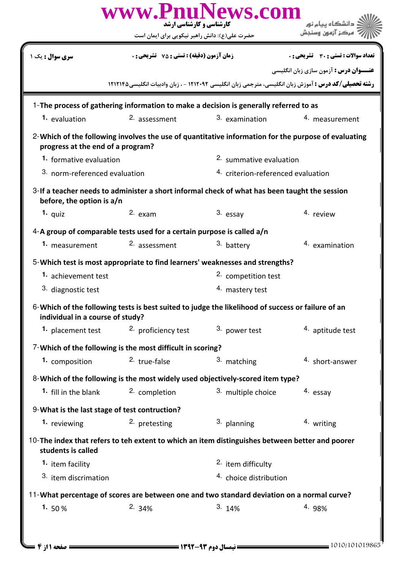|                                                                                                                                          | www.PnuNews.com<br>کارشناسی و کارشناسی ارشد<br>حضرت علی(ع): دانش راهبر نیکویی برای ایمان است                |                                   |                                               |  |  |
|------------------------------------------------------------------------------------------------------------------------------------------|-------------------------------------------------------------------------------------------------------------|-----------------------------------|-----------------------------------------------|--|--|
| سری سوال : یک ۱                                                                                                                          | <b>زمان آزمون (دقیقه) : تستی : 75 ٪ تشریحی : 0</b>                                                          |                                   | <b>تعداد سوالات : تستی : 30 ٪ تشریحی : 0</b>  |  |  |
|                                                                                                                                          |                                                                                                             |                                   | <b>عنـــوان درس :</b> آزمون سازي زبان انگليسي |  |  |
|                                                                                                                                          | <b>رشته تحصیلی/کد درس :</b> آموزش زبان انگلیسی، مترجمی زبان انگلیسی ۱۲۱۲۰۹۲ - ، زبان وادبیات انگلیسی1۲۱۲۱۴۵ |                                   |                                               |  |  |
| 1-The process of gathering information to make a decision is generally referred to as                                                    |                                                                                                             |                                   |                                               |  |  |
| 1. evaluation                                                                                                                            | 2. assessment                                                                                               | 3. examination                    | 4. measurement                                |  |  |
| 2-Which of the following involves the use of quantitative information for the purpose of evaluating<br>progress at the end of a program? |                                                                                                             |                                   |                                               |  |  |
| 1. formative evaluation                                                                                                                  |                                                                                                             | 2. summative evaluation           |                                               |  |  |
|                                                                                                                                          | 3. norm-referenced evaluation                                                                               |                                   | 4. criterion-referenced evaluation            |  |  |
| 3-If a teacher needs to administer a short informal check of what has been taught the session<br>before, the option is a/n               |                                                                                                             |                                   |                                               |  |  |
| 1. quiz                                                                                                                                  | $2.$ exam                                                                                                   | 3. essay                          | 4. review                                     |  |  |
| 4-A group of comparable tests used for a certain purpose is called a/n                                                                   |                                                                                                             |                                   |                                               |  |  |
| 1. measurement                                                                                                                           | <sup>2.</sup> assessment                                                                                    | 3. battery                        | 4. examination                                |  |  |
|                                                                                                                                          | 5-Which test is most appropriate to find learners' weaknesses and strengths?                                |                                   |                                               |  |  |
| 1. achievement test                                                                                                                      |                                                                                                             | <sup>2.</sup> competition test    |                                               |  |  |
| 3. diagnostic test                                                                                                                       |                                                                                                             | 4. mastery test                   |                                               |  |  |
| 6-Which of the following tests is best suited to judge the likelihood of success or failure of an<br>individual in a course of study?    |                                                                                                             |                                   |                                               |  |  |
|                                                                                                                                          | 1. placement test 2. proficiency test                                                                       | 3. power test                     | 4. aptitude test                              |  |  |
| 7-Which of the following is the most difficult in scoring?                                                                               |                                                                                                             |                                   |                                               |  |  |
| 1. composition                                                                                                                           | 2. true-false                                                                                               | 3. matching                       | 4. short-answer                               |  |  |
| 8-Which of the following is the most widely used objectively-scored item type?                                                           |                                                                                                             |                                   |                                               |  |  |
| 1. fill in the blank                                                                                                                     | 2. completion                                                                                               | 3. multiple choice                | 4. essay                                      |  |  |
| 9-What is the last stage of test contruction?                                                                                            |                                                                                                             |                                   |                                               |  |  |
| 1. reviewing                                                                                                                             | 2. pretesting                                                                                               | 3. planning                       | 4. writing                                    |  |  |
| 10-The index that refers to teh extent to which an item distinguishes between better and poorer<br>students is called                    |                                                                                                             |                                   |                                               |  |  |
| 1. item facility                                                                                                                         |                                                                                                             | <sup>2.</sup> item difficulty     |                                               |  |  |
| <sup>3.</sup> item discrimation                                                                                                          |                                                                                                             | <sup>4.</sup> choice distribution |                                               |  |  |
| 11-What percentage of scores are between one and two standard deviation on a normal curve?                                               |                                                                                                             |                                   |                                               |  |  |
| 1. $50%$                                                                                                                                 | 2.34%                                                                                                       | 3.14%                             | 4. 98%                                        |  |  |
|                                                                                                                                          |                                                                                                             |                                   |                                               |  |  |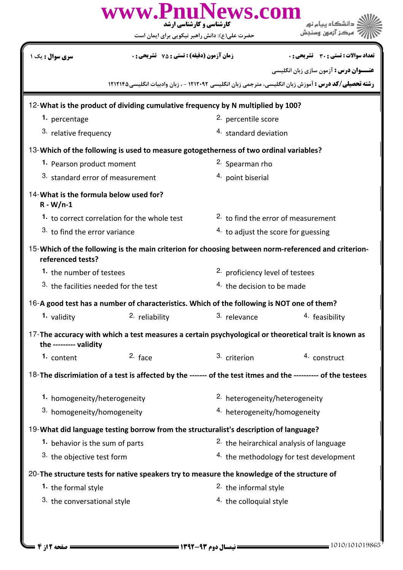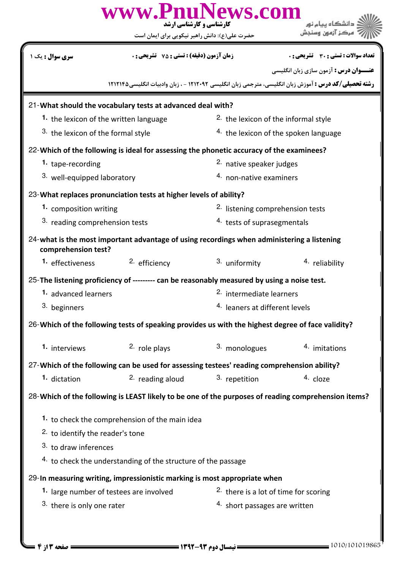| www.PnuNews.com<br><b>کارشناسی و کارشناسی ارشد</b><br>حضرت علی(ع): دانش راهبر نیکویی برای ایمان است               |                                                                                             |                                           |                                                                                                             |  |  |  |
|-------------------------------------------------------------------------------------------------------------------|---------------------------------------------------------------------------------------------|-------------------------------------------|-------------------------------------------------------------------------------------------------------------|--|--|--|
| <b>سری سوال :</b> یک ۱                                                                                            | <b>زمان آزمون (دقیقه) : تستی : 75 ٪ تشریحی : 0</b>                                          |                                           | تعداد سوالات : تستى : 30 قشريحى : 0<br><b>عنـــوان درس :</b> آزمون سازي زبان انگليسي                        |  |  |  |
|                                                                                                                   |                                                                                             |                                           | <b>رشته تحصیلی/کد درس :</b> آموزش زبان انگلیسی، مترجمی زبان انگلیسی ۱۲۱۲۰۹۲ - ، زبان وادبیات انگلیسی1۲۱۲۱۴۵ |  |  |  |
| 21-What should the vocabulary tests at advanced deal with?                                                        |                                                                                             |                                           |                                                                                                             |  |  |  |
| 1. the lexicon of the written language                                                                            |                                                                                             |                                           | <sup>2.</sup> the lexicon of the informal style                                                             |  |  |  |
| 3. the lexicon of the formal style                                                                                |                                                                                             |                                           | 4. the lexicon of the spoken language                                                                       |  |  |  |
| 22-Which of the following is ideal for assessing the phonetic accuracy of the examinees?                          |                                                                                             |                                           |                                                                                                             |  |  |  |
| 1. tape-recording                                                                                                 |                                                                                             |                                           | <sup>2.</sup> native speaker judges                                                                         |  |  |  |
| 3. well-equipped laboratory                                                                                       |                                                                                             |                                           | 4. non-native examiners                                                                                     |  |  |  |
| 23-What replaces pronunciation tests at higher levels of ability?                                                 |                                                                                             |                                           |                                                                                                             |  |  |  |
| 1. composition writing                                                                                            |                                                                                             |                                           | 2. listening comprehension tests                                                                            |  |  |  |
|                                                                                                                   | 3. reading comprehension tests                                                              |                                           | 4. tests of suprasegmentals                                                                                 |  |  |  |
| 24-what is the most important advantage of using recordings when administering a listening<br>comprehension test? |                                                                                             |                                           |                                                                                                             |  |  |  |
| 1. effectiveness                                                                                                  | <sup>2.</sup> efficiency                                                                    | 3. uniformity                             | 4. reliability                                                                                              |  |  |  |
|                                                                                                                   | 25-The listening proficiency of --------- can be reasonably measured by using a noise test. |                                           |                                                                                                             |  |  |  |
| 1. advanced learners                                                                                              |                                                                                             |                                           | <sup>2.</sup> intermediate learners                                                                         |  |  |  |
| 3. beginners                                                                                                      |                                                                                             | <sup>4.</sup> leaners at different levels |                                                                                                             |  |  |  |
| 26-Which of the following tests of speaking provides us with the highest degree of face validity?                 |                                                                                             |                                           |                                                                                                             |  |  |  |
| 1. interviews                                                                                                     | 2. role plays                                                                               | 3. monologues                             | 4. imitations                                                                                               |  |  |  |
|                                                                                                                   | 27-Which of the following can be used for assessing testees' reading comprehension ability? |                                           |                                                                                                             |  |  |  |
| 1. dictation                                                                                                      | <sup>2.</sup> reading aloud                                                                 | 3. repetition                             | 4. cloze                                                                                                    |  |  |  |
| 28-Which of the following is LEAST likely to be one of the purposes of reading comprehension items?               |                                                                                             |                                           |                                                                                                             |  |  |  |
| 1. to check the comprehension of the main idea                                                                    |                                                                                             |                                           |                                                                                                             |  |  |  |
| <sup>2.</sup> to identify the reader's tone                                                                       |                                                                                             |                                           |                                                                                                             |  |  |  |
| 3. to draw inferences                                                                                             |                                                                                             |                                           |                                                                                                             |  |  |  |
| 4. to check the understanding of the structure of the passage                                                     |                                                                                             |                                           |                                                                                                             |  |  |  |
| 29-In measuring writing, impressionistic marking is most appropriate when                                         |                                                                                             |                                           |                                                                                                             |  |  |  |
| 1. large number of testees are involved                                                                           |                                                                                             |                                           | <sup>2</sup> there is a lot of time for scoring                                                             |  |  |  |
| 3. there is only one rater                                                                                        |                                                                                             |                                           | 4. short passages are written                                                                               |  |  |  |
|                                                                                                                   |                                                                                             |                                           |                                                                                                             |  |  |  |